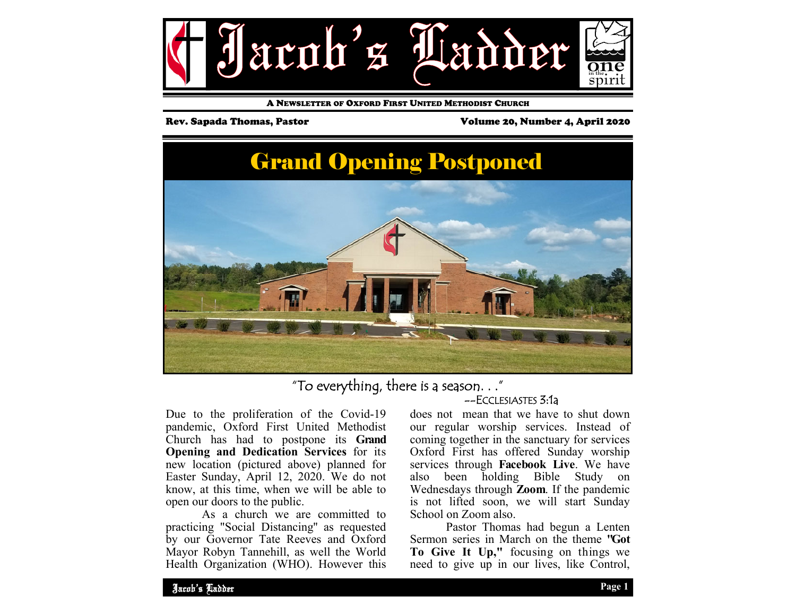

A NEWSLETTER OF OXFORD FIRST UNITED METHODIST CHURCH

Rev. Sapada Thomas, Pastor **Volume 20, Number 4, April 2020** 

# Grand Opening Postponed



"To everything, there is a season. . ."

# --ECCLESIASTES 3:1a

Due to the proliferation of the Covid-19 pandemic, Oxford First United Methodist Church has had to postpone its **Grand Opening and Dedication Services** for its new location (pictured above) planned for Easter Sunday, April 12, 2020. We do not know, at this time, when we will be able to open our doors to the public.

 As a church we are committed to practicing "Social Distancing'' as requested by our Governor Tate Reeves and Oxford Mayor Robyn Tannehill, as well the World Health Organization (WHO). However this

does not mean that we have to shut down our regular worship services. Instead of coming together in the sanctuary for services Oxford First has offered Sunday worship services through **Facebook Live**. We have also been holding Bible Study on Wednesdays through **Zoom**. If the pandemic is not lifted soon, we will start Sunday School on Zoom also.

 Pastor Thomas had begun a Lenten Sermon series in March on the theme **"Got To Give It Up,"** focusing on things we need to give up in our lives, like Control,